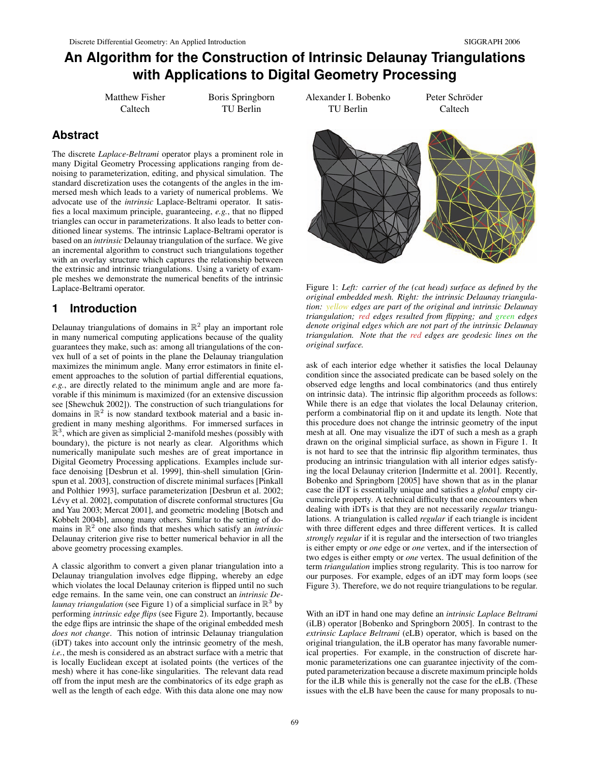# **An Algorithm for the Construction of Intrinsic Delaunay Triangulations with Applications to Digital Geometry Processing**

Matthew Fisher Caltech

Boris Springborn TU Berlin

Alexander I. Bobenko TU Berlin

Peter Schröder Caltech



Figure 1: *Left: carrier of the (cat head) surface as defined by the original embedded mesh. Right: the intrinsic Delaunay triangulation: yellow edges are part of the original and intrinsic Delaunay triangulation; red edges resulted from flipping; and green edges denote original edges which are not part of the intrinsic Delaunay triangulation. Note that the red edges are geodesic lines on the original surface.*

ask of each interior edge whether it satisfies the local Delaunay condition since the associated predicate can be based solely on the observed edge lengths and local combinatorics (and thus entirely on intrinsic data). The intrinsic flip algorithm proceeds as follows: While there is an edge that violates the local Delaunay criterion, perform a combinatorial flip on it and update its length. Note that this procedure does not change the intrinsic geometry of the input mesh at all. One may visualize the iDT of such a mesh as a graph drawn on the original simplicial surface, as shown in Figure 1. It is not hard to see that the intrinsic flip algorithm terminates, thus producing an intrinsic triangulation with all interior edges satisfying the local Delaunay criterion [Indermitte et al. 2001]. Recently, Bobenko and Springborn [2005] have shown that as in the planar case the iDT is essentially unique and satisfies a *global* empty circumcircle property. A technical difficulty that one encounters when dealing with iDTs is that they are not necessarily *regular* triangulations. A triangulation is called *regular* if each triangle is incident with three different edges and three different vertices. It is called *strongly regular* if it is regular and the intersection of two triangles is either empty or *one* edge or *one* vertex, and if the intersection of two edges is either empty or *one* vertex. The usual definition of the term *triangulation* implies strong regularity. This is too narrow for our purposes. For example, edges of an iDT may form loops (see Figure 3). Therefore, we do not require triangulations to be regular.

With an iDT in hand one may define an *intrinsic Laplace Beltrami* (iLB) operator [Bobenko and Springborn 2005]. In contrast to the *extrinsic Laplace Beltrami* (eLB) operator, which is based on the original triangulation, the iLB operator has many favorable numerical properties. For example, in the construction of discrete harmonic parameterizations one can guarantee injectivity of the computed parameterization because a discrete maximum principle holds for the iLB while this is generally not the case for the eLB. (These issues with the eLB have been the cause for many proposals to nu-

**Abstract**

The discrete *Laplace-Beltrami* operator plays a prominent role in many Digital Geometry Processing applications ranging from denoising to parameterization, editing, and physical simulation. The standard discretization uses the cotangents of the angles in the immersed mesh which leads to a variety of numerical problems. We advocate use of the *intrinsic* Laplace-Beltrami operator. It satisfies a local maximum principle, guaranteeing, *e.g.*, that no flipped triangles can occur in parameterizations. It also leads to better conditioned linear systems. The intrinsic Laplace-Beltrami operator is based on an *intrinsic* Delaunay triangulation of the surface. We give an incremental algorithm to construct such triangulations together with an overlay structure which captures the relationship between the extrinsic and intrinsic triangulations. Using a variety of example meshes we demonstrate the numerical benefits of the intrinsic Laplace-Beltrami operator.

# **1 Introduction**

Delaunay triangulations of domains in  $\mathbb{R}^2$  play an important role in many numerical computing applications because of the quality guarantees they make, such as: among all triangulations of the convex hull of a set of points in the plane the Delaunay triangulation maximizes the minimum angle. Many error estimators in finite element approaches to the solution of partial differential equations, *e.g.*, are directly related to the minimum angle and are more favorable if this minimum is maximized (for an extensive discussion see [Shewchuk 2002]). The construction of such triangulations for domains in  $\mathbb{R}^2$  is now standard textbook material and a basic ingredient in many meshing algorithms. For immersed surfaces in  $\mathbb{R}^3$ , which are given as simplicial 2-manifold meshes (possibly with boundary), the picture is not nearly as clear. Algorithms which numerically manipulate such meshes are of great importance in Digital Geometry Processing applications. Examples include surface denoising [Desbrun et al. 1999], thin-shell simulation [Grinspun et al. 2003], construction of discrete minimal surfaces [Pinkall and Polthier 1993], surface parameterization [Desbrun et al. 2002; Lévy et al. 2002], computation of discrete conformal structures [Gu and Yau 2003; Mercat 2001], and geometric modeling [Botsch and Kobbelt 2004b], among many others. Similar to the setting of domains in R 2 one also finds that meshes which satisfy an *intrinsic* Delaunay criterion give rise to better numerical behavior in all the above geometry processing examples.

A classic algorithm to convert a given planar triangulation into a Delaunay triangulation involves edge flipping, whereby an edge which violates the local Delaunay criterion is flipped until no such edge remains. In the same vein, one can construct an *intrinsic Delaunay triangulation* (see Figure 1) of a simplicial surface in  $\mathbb{R}^3$  by performing *intrinsic edge flips* (see Figure 2). Importantly, because the edge flips are intrinsic the shape of the original embedded mesh *does not change*. This notion of intrinsic Delaunay triangulation (iDT) takes into account only the intrinsic geometry of the mesh, *i.e.*, the mesh is considered as an abstract surface with a metric that is locally Euclidean except at isolated points (the vertices of the mesh) where it has cone-like singularities. The relevant data read off from the input mesh are the combinatorics of its edge graph as well as the length of each edge. With this data alone one may now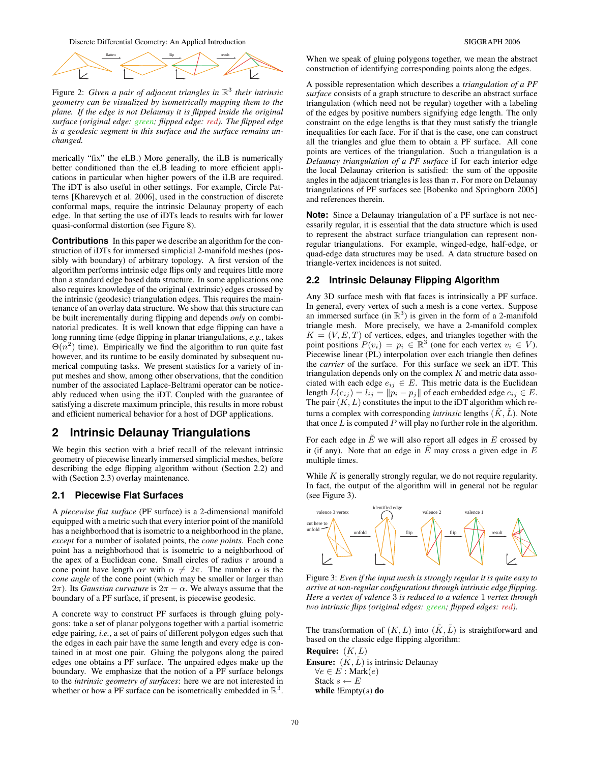Discrete Differential Geometry: An Applied Introduction SIGGRAPH 2006



Figure 2: *Given a pair of adjacent triangles in* R 3 *their intrinsic geometry can be visualized by isometrically mapping them to the plane. If the edge is not Delaunay it is flipped inside the original surface (original edge: green; flipped edge: red). The flipped edge is a geodesic segment in this surface and the surface remains unchanged.*

merically "fix" the eLB.) More generally, the iLB is numerically better conditioned than the eLB leading to more efficient applications in particular when higher powers of the iLB are required. The iDT is also useful in other settings. For example, Circle Patterns [Kharevych et al. 2006], used in the construction of discrete conformal maps, require the intrinsic Delaunay property of each edge. In that setting the use of iDTs leads to results with far lower quasi-conformal distortion (see Figure 8).

**Contributions** In this paper we describe an algorithm for the construction of iDTs for immersed simplicial 2-manifold meshes (possibly with boundary) of arbitrary topology. A first version of the algorithm performs intrinsic edge flips only and requires little more than a standard edge based data structure. In some applications one also requires knowledge of the original (extrinsic) edges crossed by the intrinsic (geodesic) triangulation edges. This requires the maintenance of an overlay data structure. We show that this structure can be built incrementally during flipping and depends *only* on combinatorial predicates. It is well known that edge flipping can have a long running time (edge flipping in planar triangulations, *e.g.*, takes  $\Theta(n^2)$  time). Empirically we find the algorithm to run quite fast however, and its runtime to be easily dominated by subsequent numerical computing tasks. We present statistics for a variety of input meshes and show, among other observations, that the condition number of the associated Laplace-Beltrami operator can be noticeably reduced when using the iDT. Coupled with the guarantee of satisfying a discrete maximum principle, this results in more robust and efficient numerical behavior for a host of DGP applications.

# **2 Intrinsic Delaunay Triangulations**

We begin this section with a brief recall of the relevant intrinsic geometry of piecewise linearly immersed simplicial meshes, before describing the edge flipping algorithm without (Section 2.2) and with (Section 2.3) overlay maintenance.

#### **2.1 Piecewise Flat Surfaces**

A *piecewise flat surface* (PF surface) is a 2-dimensional manifold equipped with a metric such that every interior point of the manifold has a neighborhood that is isometric to a neighborhood in the plane, *except* for a number of isolated points, the *cone points*. Each cone point has a neighborhood that is isometric to a neighborhood of the apex of a Euclidean cone. Small circles of radius  $r$  around a cone point have length  $\alpha r$  with  $\alpha \neq 2\pi$ . The number  $\alpha$  is the *cone angle* of the cone point (which may be smaller or larger than 2π). Its *Gaussian curvature* is  $2π - α$ . We always assume that the boundary of a PF surface, if present, is piecewise geodesic.

A concrete way to construct PF surfaces is through gluing polygons: take a set of planar polygons together with a partial isometric edge pairing, *i.e.*, a set of pairs of different polygon edges such that the edges in each pair have the same length and every edge is contained in at most one pair. Gluing the polygons along the paired edges one obtains a PF surface. The unpaired edges make up the boundary. We emphasize that the notion of a PF surface belongs to the *intrinsic geometry of surfaces*: here we are not interested in whether or how a PF surface can be isometrically embedded in  $\mathbb{R}^3$ . When we speak of gluing polygons together, we mean the abstract construction of identifying corresponding points along the edges.

A possible representation which describes a *triangulation of a PF surface* consists of a graph structure to describe an abstract surface triangulation (which need not be regular) together with a labeling of the edges by positive numbers signifying edge length. The only constraint on the edge lengths is that they must satisfy the triangle inequalities for each face. For if that is the case, one can construct all the triangles and glue them to obtain a PF surface. All cone points are vertices of the triangulation. Such a triangulation is a *Delaunay triangulation of a PF surface* if for each interior edge the local Delaunay criterion is satisfied: the sum of the opposite angles in the adjacent triangles is less than  $\pi$ . For more on Delaunay triangulations of PF surfaces see [Bobenko and Springborn 2005] and references therein.

**Note:** Since a Delaunay triangulation of a PF surface is not necessarily regular, it is essential that the data structure which is used to represent the abstract surface triangulation can represent nonregular triangulations. For example, winged-edge, half-edge, or quad-edge data structures may be used. A data structure based on triangle-vertex incidences is not suited.

#### **2.2 Intrinsic Delaunay Flipping Algorithm**

Any 3D surface mesh with flat faces is intrinsically a PF surface. In general, every vertex of such a mesh is a cone vertex. Suppose an immersed surface (in  $\mathbb{R}^3$ ) is given in the form of a 2-manifold triangle mesh. More precisely, we have a 2-manifold complex  $K = (V, E, T)$  of vertices, edges, and triangles together with the point positions  $P(v_i) = p_i \in \mathbb{R}^3$  (one for each vertex  $v_i \in V$ ). Piecewise linear (PL) interpolation over each triangle then defines the *carrier* of the surface. For this surface we seek an iDT. This triangulation depends only on the complex  $K$  and metric data associated with each edge  $e_{ij} \in E$ . This metric data is the Euclidean length  $L(e_{ij}) = l_{ij} = ||p_i - p_j||$  of each embedded edge  $e_{ij} \in E$ . The pair  $(K, L)$  constitutes the input to the iDT algorithm which returns a complex with corresponding *intrinsic* lengths  $(\tilde{K}, \tilde{L})$ . Note that once  $L$  is computed  $P$  will play no further role in the algorithm.

For each edge in  $\tilde{E}$  we will also report all edges in  $E$  crossed by it (if any). Note that an edge in  $\tilde{E}$  may cross a given edge in  $E$ multiple times.

While  $K$  is generally strongly regular, we do not require regularity. In fact, the output of the algorithm will in general not be regular (see Figure 3).



Figure 3: *Even if the input mesh is strongly regular it is quite easy to arrive at non-regular configurations through intrinsic edge flipping. Here a vertex of valence* 3 *is reduced to a valence* 1 *vertex through two intrinsic flips (original edges: green; flipped edges: red).*

The transformation of  $(K, L)$  into  $(\tilde{K}, \tilde{L})$  is straightforward and based on the classic edge flipping algorithm:

**Require:**  $(K, L)$ **Ensure:**  $(\tilde{K}, \tilde{L})$  is intrinsic Delaunay  $\forall e \in E : \text{Mark}(e)$ Stack  $s \leftarrow E$ while  $!Empty(s)$  do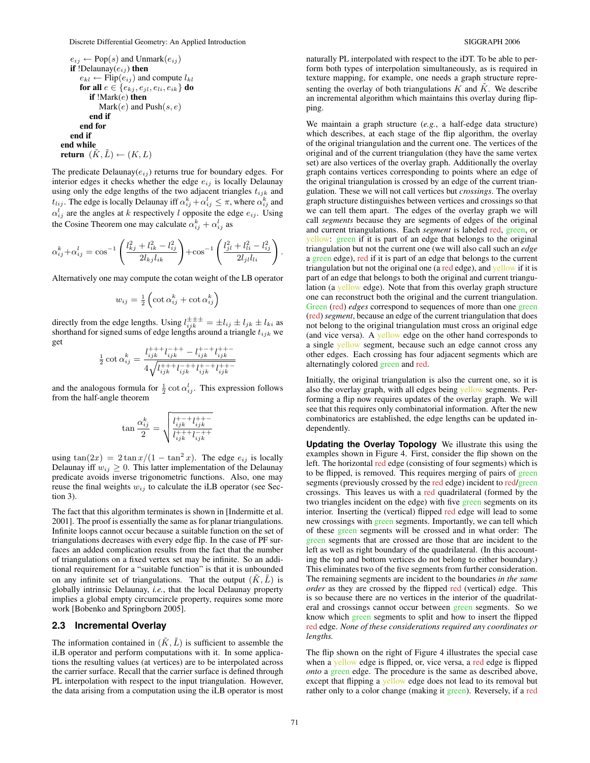```
e_{ij} \leftarrow Pop(s) and Unmark(e_{ij})if !Delaunay(e_{ij}) then
       e_{kl} \leftarrow Flip(e_{ij}) and compute l_{kl}for all e \in \{e_{kj}, e_{jl}, e_{li}, e_{ik}\}\ do
           if \text{Mark}(e) then
              Mark(e) and Push(s, e)end if
       end for
   end if
end while
return (\tilde{K}, \tilde{L}) \leftarrow (K, L)
```
The predicate Delaunay $(e_{ij})$  returns true for boundary edges. For interior edges it checks whether the edge  $e_{ij}$  is locally Delaunay using only the edge lengths of the two adjacent triangles  $t_{ijk}$  and  $t_{lij}$ . The edge is locally Delaunay iff  $\alpha_{ij}^k + \alpha_{ij}^l \leq \pi$ , where  $\alpha_{ij}^k$  and  $\alpha_{ij}^l$  are the angles at k respectively l opposite the edge  $e_{ij}$ . Using the Cosine Theorem one may calculate  $\alpha_{ij}^k + \alpha_{ij}^l$  as

$$
\alpha_{ij}^k + \alpha_{ij}^l = \cos^{-1}\left(\frac{l_{kj}^2 + l_{ik}^2 - l_{ij}^2}{2l_{kj}l_{ik}}\right) + \cos^{-1}\left(\frac{l_{jl}^2 + l_{li}^2 - l_{ij}^2}{2l_{j}l_{li}}\right).
$$

Alternatively one may compute the cotan weight of the LB operator

$$
w_{ij} = \frac{1}{2} \left( \cot \alpha_{ij}^k + \cot \alpha_{ij}^k \right)
$$

directly from the edge lengths. Using  $l_{ijk}^{\pm \pm \pm} = \pm l_{ij} \pm l_{jk} \pm l_{ki}$  as shorthand for signed sums of edge lengths around a triangle  $t_{ijk}$  we get

$$
\tfrac{1}{2}\cot\alpha_{ij}^k = \frac{l_{ijk}^{++}l_{ijk}^{-++} - l_{ijk}^{+-}l_{ijk}^{++}}{4\sqrt{l_{ijk}^{++}l_{ijk}^{-++}l_{ijk}^{++}l_{ijk}^{++}l_{ijk}^{++}}}
$$

and the analogous formula for  $\frac{1}{2} \cot \alpha_{ij}^l$ . This expression follows from the half-angle theorem

$$
\tan \frac{\alpha_{ij}^k}{2} = \sqrt{\frac{l_{ijk}^{+-+} l_{ijk}^{++-}}{l_{ijk}^{+++} l_{ijk}^{-++}}
$$

using  $\tan(2x) = 2 \tan x/(1 - \tan^2 x)$ . The edge  $e_{ij}$  is locally Delaunay iff  $w_{ij} > 0$ . This latter implementation of the Delaunay predicate avoids inverse trigonometric functions. Also, one may reuse the final weights  $w_{ij}$  to calculate the iLB operator (see Section 3).

The fact that this algorithm terminates is shown in [Indermitte et al. 2001]. The proof is essentially the same as for planar triangulations. Infinite loops cannot occur because a suitable function on the set of triangulations decreases with every edge flip. In the case of PF surfaces an added complication results from the fact that the number of triangulations on a fixed vertex set may be infinite. So an additional requirement for a "suitable function" is that it is unbounded on any infinite set of triangulations. That the output  $(K, L)$  is globally intrinsic Delaunay, *i.e.*, that the local Delaunay property implies a global empty circumcircle property, requires some more work [Bobenko and Springborn 2005].

#### **2.3 Incremental Overlay**

The information contained in  $(\tilde{K}, \tilde{L})$  is sufficient to assemble the iLB operator and perform computations with it. In some applications the resulting values (at vertices) are to be interpolated across the carrier surface. Recall that the carrier surface is defined through PL interpolation with respect to the input triangulation. However, the data arising from a computation using the iLB operator is most naturally PL interpolated with respect to the iDT. To be able to perform both types of interpolation simultaneously, as is required in texture mapping, for example, one needs a graph structure representing the overlay of both triangulations K and  $\tilde{K}$ . We describe an incremental algorithm which maintains this overlay during flipping.

We maintain a graph structure (*e.g.*, a half-edge data structure) which describes, at each stage of the flip algorithm, the overlay of the original triangulation and the current one. The vertices of the original and of the current triangulation (they have the same vertex set) are also vertices of the overlay graph. Additionally the overlay graph contains vertices corresponding to points where an edge of the original triangulation is crossed by an edge of the current triangulation. These we will not call vertices but *crossings*. The overlay graph structure distinguishes between vertices and crossings so that we can tell them apart. The edges of the overlay graph we will call *segments* because they are segments of edges of the original and current triangulations. Each *segment* is labeled red, green, or yellow: green if it is part of an edge that belongs to the original triangulation but not the current one (we will also call such an *edge* a green edge), red if it is part of an edge that belongs to the current triangulation but not the original one (a red edge), and yellow if it is part of an edge that belongs to both the original and current triangulation (a yellow edge). Note that from this overlay graph structure one can reconstruct both the original and the current triangulation. Green (red) *edges* correspond to sequences of more than one green (red) *segment*, because an edge of the current triangulation that does not belong to the original triangulation must cross an original edge (and vice versa). A yellow edge on the other hand corresponds to a single yellow segment, because such an edge cannot cross any other edges. Each crossing has four adjacent segments which are alternatingly colored green and red.

Initially, the original triangulation is also the current one, so it is also the overlay graph, with all edges being yellow segments. Performing a flip now requires updates of the overlay graph. We will see that this requires only combinatorial information. After the new combinatorics are established, the edge lengths can be updated independently.

**Updating the Overlay Topology** We illustrate this using the examples shown in Figure 4. First, consider the flip shown on the left. The horizontal red edge (consisting of four segments) which is to be flipped, is removed. This requires merging of pairs of green segments (previously crossed by the red edge) incident to red/green crossings. This leaves us with a red quadrilateral (formed by the two triangles incident on the edge) with five green segments on its interior. Inserting the (vertical) flipped red edge will lead to some new crossings with green segments. Importantly, we can tell which of these green segments will be crossed and in what order: The green segments that are crossed are those that are incident to the left as well as right boundary of the quadrilateral. (In this accounting the top and bottom vertices do not belong to either boundary.) This eliminates two of the five segments from further consideration. The remaining segments are incident to the boundaries *in the same order* as they are crossed by the flipped red (vertical) edge. This is so because there are no vertices in the interior of the quadrilateral and crossings cannot occur between green segments. So we know which green segments to split and how to insert the flipped red edge. *None of these considerations required any coordinates or lengths.*

The flip shown on the right of Figure 4 illustrates the special case when a yellow edge is flipped, or, vice versa, a red edge is flipped *onto* a green edge. The procedure is the same as described above, except that flipping a yellow edge does not lead to its removal but rather only to a color change (making it green). Reversely, if a red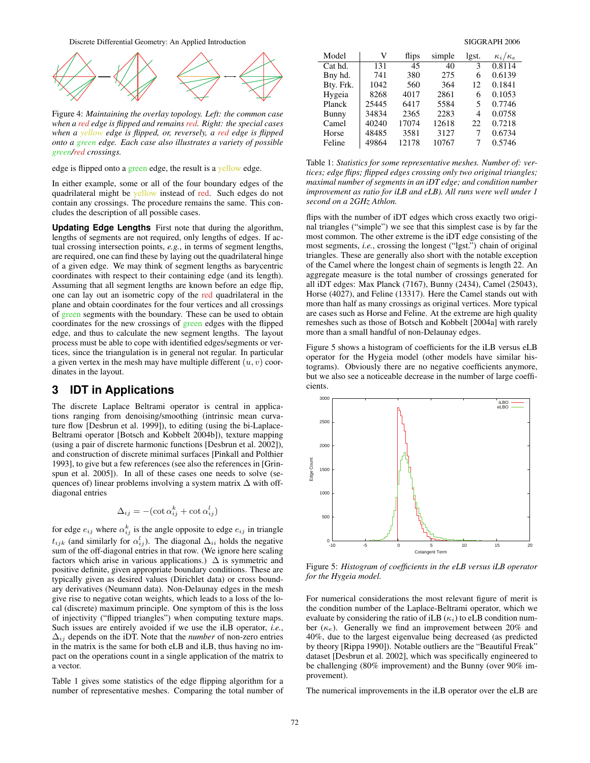Discrete Differential Geometry: An Applied Introduction SIGGRAPH 2006



Figure 4: *Maintaining the overlay topology. Left: the common case when a red edge is flipped and remains red. Right: the special cases when a yellow edge is flipped, or, reversely, a red edge is flipped onto a green edge. Each case also illustrates a variety of possible green/red crossings.*

edge is flipped onto a green edge, the result is a yellow edge.

In either example, some or all of the four boundary edges of the quadrilateral might be yellow instead of red. Such edges do not contain any crossings. The procedure remains the same. This concludes the description of all possible cases.

**Updating Edge Lengths** First note that during the algorithm, lengths of segments are not required, only lengths of edges. If actual crossing intersection points, *e.g.*, in terms of segment lengths, are required, one can find these by laying out the quadrilateral hinge of a given edge. We may think of segment lengths as barycentric coordinates with respect to their containing edge (and its length). Assuming that all segment lengths are known before an edge flip, one can lay out an isometric copy of the red quadrilateral in the plane and obtain coordinates for the four vertices and all crossings of green segments with the boundary. These can be used to obtain coordinates for the new crossings of green edges with the flipped edge, and thus to calculate the new segment lengths. The layout process must be able to cope with identified edges/segments or vertices, since the triangulation is in general not regular. In particular a given vertex in the mesh may have multiple different  $(u, v)$  coordinates in the layout.

## **3 IDT in Applications**

The discrete Laplace Beltrami operator is central in applications ranging from denoising/smoothing (intrinsic mean curvature flow [Desbrun et al. 1999]), to editing (using the bi-Laplace-Beltrami operator [Botsch and Kobbelt 2004b]), texture mapping (using a pair of discrete harmonic functions [Desbrun et al. 2002]), and construction of discrete minimal surfaces [Pinkall and Polthier 1993], to give but a few references (see also the references in [Grinspun et al. 2005]). In all of these cases one needs to solve (sequences of) linear problems involving a system matrix  $\Delta$  with offdiagonal entries

$$
\Delta_{ij} = -(\cot \alpha_{ij}^k + \cot \alpha_{ij}^l)
$$

for edge  $e_{ij}$  where  $\alpha_{ij}^k$  is the angle opposite to edge  $e_{ij}$  in triangle  $t_{ijk}$  (and similarly for  $\alpha_{ij}^l$ ). The diagonal  $\Delta_{ii}$  holds the negative sum of the off-diagonal entries in that row. (We ignore here scaling factors which arise in various applications.)  $\Delta$  is symmetric and positive definite, given appropriate boundary conditions. These are typically given as desired values (Dirichlet data) or cross boundary derivatives (Neumann data). Non-Delaunay edges in the mesh give rise to negative cotan weights, which leads to a loss of the local (discrete) maximum principle. One symptom of this is the loss of injectivity ("flipped triangles") when computing texture maps. Such issues are entirely avoided if we use the iLB operator, *i.e.*,  $\Delta_{ij}$  depends on the iDT. Note that the *number* of non-zero entries in the matrix is the same for both eLB and iLB, thus having no impact on the operations count in a single application of the matrix to a vector.

Table 1 gives some statistics of the edge flipping algorithm for a number of representative meshes. Comparing the total number of

| Model     | v     | flips | simple | lgst.          | $\kappa_i/\kappa_e$ |
|-----------|-------|-------|--------|----------------|---------------------|
| Cat hd.   | 131   | 45    | 40     | 3              | 0.8114              |
| Bny hd.   | 741   | 380   | 275    | 6              | 0.6139              |
| Bty. Frk. | 1042  | 560   | 364    | 12             | 0.1841              |
| Hygeia    | 8268  | 4017  | 2861   | 6              | 0.1053              |
| Planck    | 25445 | 6417  | 5584   | 5              | 0.7746              |
| Bunny     | 34834 | 2365  | 2283   | $\overline{4}$ | 0.0758              |
| Camel     | 40240 | 17074 | 12618  | 22             | 0.7218              |
| Horse     | 48485 | 3581  | 3127   | 7              | 0.6734              |
| Feline    | 49864 | 12178 | 10767  | 7              | 0.5746              |

Table 1: *Statistics for some representative meshes. Number of: vertices; edge flips; flipped edges crossing only two original triangles; maximal number of segments in an iDT edge; and condition number improvement as ratio for iLB and eLB). All runs were well under 1 second on a 2GHz Athlon.*

flips with the number of iDT edges which cross exactly two original triangles ("simple") we see that this simplest case is by far the most common. The other extreme is the iDT edge consisting of the most segments, *i.e.*, crossing the longest ("lgst.") chain of original triangles. These are generally also short with the notable exception of the Camel where the longest chain of segments is length 22. An aggregate measure is the total number of crossings generated for all iDT edges: Max Planck (7167), Bunny (2434), Camel (25043), Horse (4027), and Feline (13317). Here the Camel stands out with more than half as many crossings as original vertices. More typical are cases such as Horse and Feline. At the extreme are high quality remeshes such as those of Botsch and Kobbelt [2004a] with rarely more than a small handful of non-Delaunay edges.

Figure 5 shows a histogram of coefficients for the iLB versus eLB operator for the Hygeia model (other models have similar histograms). Obviously there are no negative coefficients anymore, but we also see a noticeable decrease in the number of large coefficients.



Figure 5: *Histogram of coefficients in the eLB versus iLB operator for the Hygeia model.*

For numerical considerations the most relevant figure of merit is the condition number of the Laplace-Beltrami operator, which we evaluate by considering the ratio of iLB  $(\kappa_i)$  to eLB condition number ( $\kappa_e$ ). Generally we find an improvement between 20% and 40%, due to the largest eigenvalue being decreased (as predicted by theory [Rippa 1990]). Notable outliers are the "Beautiful Freak" dataset [Desbrun et al. 2002], which was specifically engineered to be challenging (80% improvement) and the Bunny (over 90% improvement).

The numerical improvements in the iLB operator over the eLB are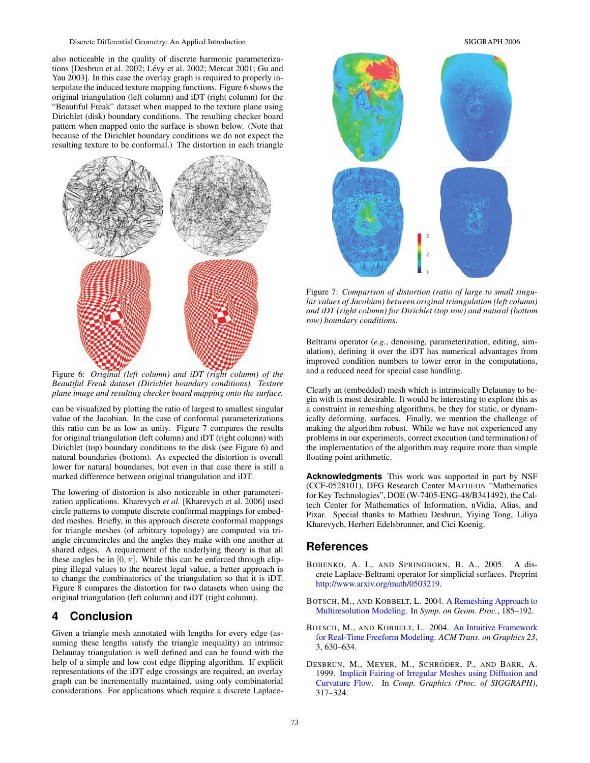also noticeable in the quality of discrete harmonic parameterizations [Desbrun et al. 2002; Lévy et al. 2002; Mercat 2001; Gu and Yau 2003]. In this case the overlay graph is required to properly interpolate the induced texture mapping functions. Figure 6 shows the original triangulation (left column) and iDT (right column) for the "Beautiful Freak" dataset when mapped to the texture plane using Dirichlet (disk) boundary conditions. The resulting checker board pattern when mapped onto the surface is shown below. (Note that because of the Dirichlet boundary conditions we do not expect the resulting texture to be conformal.) The distortion in each triangle



Figure 6: *Original (left column) and iDT (right column) of the Beautiful Freak dataset (Dirichlet boundary conditions). Texture plane image and resulting checker board mapping onto the surface.*

can be visualized by plotting the ratio of largest to smallest singular value of the Jacobian. In the case of conformal parameterizations this ratio can be as low as unity. Figure 7 compares the results for original triangulation (left column) and iDT (right column) with Dirichlet (top) boundary conditions to the disk (see Figure 6) and natural boundaries (bottom). As expected the distortion is overall lower for natural boundaries, but even in that case there is still a marked difference between original triangulation and iDT.

The lowering of distortion is also noticeable in other parameterization applications. Kharevych *et al.* [Kharevych et al. 2006] used circle patterns to compute discrete conformal mappings for embedded meshes. Briefly, in this approach discrete conformal mappings for triangle meshes (of arbitrary topology) are computed via triangle circumcircles and the angles they make with one another at shared edges. A requirement of the underlying theory is that all these angles be in  $[0, \pi]$ . While this can be enforced through clipping illegal values to the nearest legal value, a better approach is to change the combinatorics of the triangulation so that it is iDT. Figure 8 compares the distortion for two datasets when using the original triangulation (left column) and iDT (right column).

## **4 Conclusion**

Given a triangle mesh annotated with lengths for every edge (assuming these lengths satisfy the triangle inequality) an intrinsic Delaunay triangulation is well defined and can be found with the help of a simple and low cost edge flipping algorithm. If explicit representations of the iDT edge crossings are required, an overlay graph can be incrementally maintained, using only combinatorial considerations. For applications which require a discrete Laplace-



Figure 7: *Comparison of distortion (ratio of large to small singular values of Jacobian) between original triangulation (left column) and iDT (right column) for Dirichlet (top row) and natural (bottom row) boundary conditions.*

Beltrami operator (*e.g.*, denoising, parameterization, editing, simulation), defining it over the iDT has numerical advantages from improved condition numbers to lower error in the computations, and a reduced need for special case handling.

Clearly an (embedded) mesh which is intrinsically Delaunay to begin with is most desirable. It would be interesting to explore this as a constraint in remeshing algorithms, be they for static, or dynamically deforming, surfaces. Finally, we mention the challenge of making the algorithm robust. While we have not experienced any problems in our experiments, correct execution (and termination) of the implementation of the algorithm may require more than simple floating point arithmetic.

**Acknowledgments** This work was supported in part by NSF (CCF-0528101), DFG Research Center MATHEON "Mathematics for Key Technologies", DOE (W-7405-ENG-48/B341492), the Caltech Center for Mathematics of Information, nVidia, Alias, and Pixar. Special thanks to Mathieu Desbrun, Yiying Tong, Liliya Kharevych, Herbert Edelsbrunner, and Cici Koenig.

## **References**

- BOBENKO, A. I., AND SPRINGBORN, B. A., 2005. A discrete Laplace-Beltrami operator for simplicial surfaces. Preprint [http://www.arxiv.org/math/0503219.](http://www.arxiv.org/math/0503219)
- BOTSCH, M., AND KOBBELT, L. 2004. [A Remeshing Approach to](http://graphics.ethz.ch/~mbotsch/publications/sgp04.pdf) [Multiresolution Modeling.](http://graphics.ethz.ch/~mbotsch/publications/sgp04.pdf) In *Symp. on Geom. Proc.*, 185–192.
- BOTSCH, M., AND KOBBELT, L. 2004. [An Intuitive Framework](http://www-i8.informatik.rwth-aachen.de/publications/downloads/modeling.pdf) [for Real-Time Freeform Modeling.](http://www-i8.informatik.rwth-aachen.de/publications/downloads/modeling.pdf) *ACM Trans. on Graphics 23*, 3, 630–634.
- DESBRUN, M., MEYER, M., SCHRÖDER, P., AND BARR, A. 1999. [Implicit Fairing of Irregular Meshes using Diffusion and](http://multires.caltech.edu/pubs/ImplicitFairing.pdf) [Curvature Flow.](http://multires.caltech.edu/pubs/ImplicitFairing.pdf) In *Comp. Graphics (Proc. of SIGGRAPH)*, 317–324.